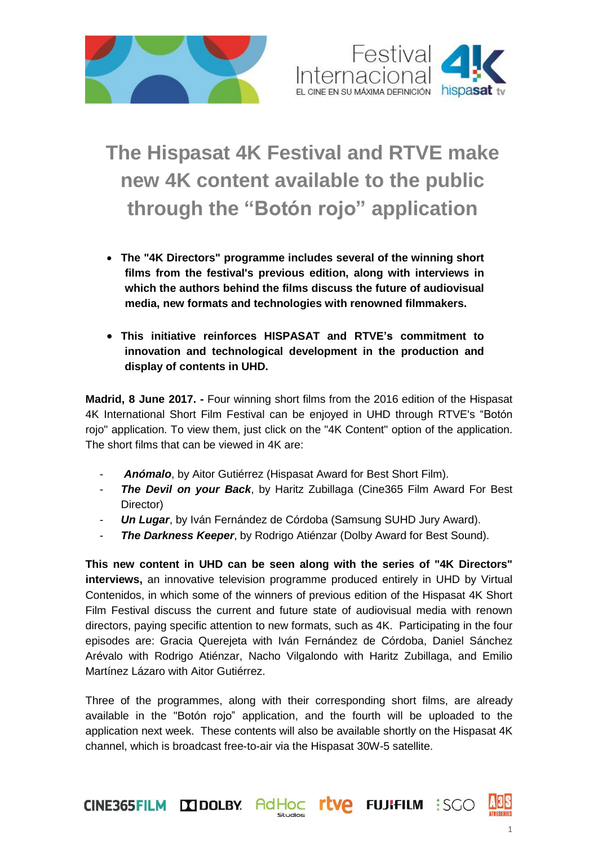



## **The Hispasat 4K Festival and RTVE make new 4K content available to the public through the "Botón rojo" application**

- **The "4K Directors" programme includes several of the winning short films from the festival's previous edition, along with interviews in which the authors behind the films discuss the future of audiovisual media, new formats and technologies with renowned filmmakers.**
- **This initiative reinforces HISPASAT and RTVE's commitment to innovation and technological development in the production and display of contents in UHD.**

**Madrid, 8 June 2017. -** Four winning short films from the 2016 edition of the Hispasat 4K International Short Film Festival can be enjoyed in UHD through RTVE's "Botón rojo" application. To view them, just click on the "4K Content" option of the application. The short films that can be viewed in 4K are:

- Anómalo, by Aitor Gutiérrez (Hispasat Award for Best Short Film).
- **The Devil on your Back**, by Haritz Zubillaga (Cine365 Film Award For Best Director)
- *Un Lugar*, by Iván Fernández de Córdoba (Samsung SUHD Jury Award).
- **The Darkness Keeper**, by Rodrigo Atiénzar (Dolby Award for Best Sound).

**This new content in UHD can be seen along with the series of "4K Directors" interviews,** an innovative television programme produced entirely in UHD by Virtual Contenidos, in which some of the winners of previous edition of the Hispasat 4K Short Film Festival discuss the current and future state of audiovisual media with renown directors, paying specific attention to new formats, such as 4K. Participating in the four episodes are: Gracia Querejeta with Iván Fernández de Córdoba, Daniel Sánchez Arévalo with Rodrigo Atiénzar, Nacho Vilgalondo with Haritz Zubillaga, and Emilio Martínez Lázaro with Aitor Gutiérrez.

Three of the programmes, along with their corresponding short films, are already available in the "Botón rojo" application, and the fourth will be uploaded to the application next week. These contents will also be available shortly on the Hispasat 4K channel, which is broadcast free-to-air via the Hispasat 30W-5 satellite.

**rtve** 

CINE365FILM DOLBY AdHOC

A3S

**FUJIFILM : SGO**